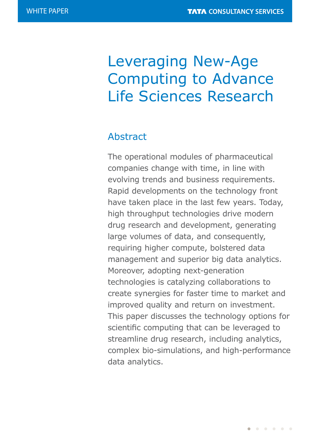# Leveraging New-Age Computing to Advance Life Sciences Research

## Abstract

The operational modules of pharmaceutical companies change with time, in line with evolving trends and business requirements. Rapid developments on the technology front have taken place in the last few years. Today, high throughput technologies drive modern drug research and development, generating large volumes of data, and consequently, requiring higher compute, bolstered data management and superior big data analytics. Moreover, adopting next-generation technologies is catalyzing collaborations to create synergies for faster time to market and improved quality and return on investment. This paper discusses the technology options for scientific computing that can be leveraged to streamline drug research, including analytics, complex bio-simulations, and high-performance data analytics.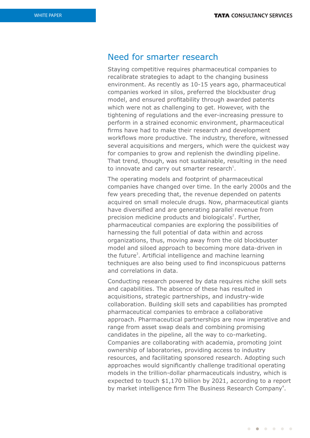### Need for smarter research

Staying competitive requires pharmaceutical companies to recalibrate strategies to adapt to the changing business environment. As recently as 10-15 years ago, pharmaceutical companies worked in silos, preferred the blockbuster drug model, and ensured profitability through awarded patents which were not as challenging to get. However, with the tightening of regulations and the ever-increasing pressure to perform in a strained economic environment, pharmaceutical firms have had to make their research and development workflows more productive. The industry, therefore, witnessed several acquisitions and mergers, which were the quickest way for companies to grow and replenish the dwindling pipeline. That trend, though, was not sustainable, resulting in the need to innovate and carry out smarter research<sup>1</sup>.

The operating models and footprint of pharmaceutical companies have changed over time. In the early 2000s and the few years preceding that, the revenue depended on patents acquired on small molecule drugs. Now, pharmaceutical giants have diversified and are generating parallel revenue from precision medicine products and biologicals<sup>2</sup>. Further, pharmaceutical companies are exploring the possibilities of harnessing the full potential of data within and across organizations, thus, moving away from the old blockbuster model and siloed approach to becoming more data-driven in the future<sup>3</sup>. Artificial intelligence and machine learning techniques are also being used to find inconspicuous patterns and correlations in data.

Conducting research powered by data requires niche skill sets and capabilities. The absence of these has resulted in acquisitions, strategic partnerships, and industry-wide collaboration. Building skill sets and capabilities has prompted pharmaceutical companies to embrace a collaborative approach. Pharmaceutical partnerships are now imperative and range from asset swap deals and combining promising candidates in the pipeline, all the way to co-marketing. Companies are collaborating with academia, promoting joint ownership of laboratories, providing access to industry resources, and facilitating sponsored research. Adopting such approaches would significantly challenge traditional operating models in the trillion-dollar pharmaceuticals industry, which is expected to touch \$1,170 billion by 2021, according to a report by market intelligence firm The Business Research Company<sup>4</sup>.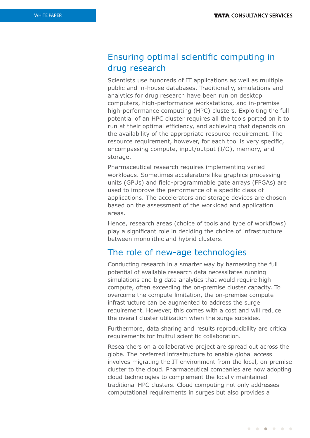### Ensuring optimal scientific computing in drug research

Scientists use hundreds of IT applications as well as multiple public and in-house databases. Traditionally, simulations and analytics for drug research have been run on desktop computers, high-performance workstations, and in-premise high-performance computing (HPC) clusters. Exploiting the full potential of an HPC cluster requires all the tools ported on it to run at their optimal efficiency, and achieving that depends on the availability of the appropriate resource requirement. The resource requirement, however, for each tool is very specific, encompassing compute, input/output (I/O), memory, and storage.

Pharmaceutical research requires implementing varied workloads. Sometimes accelerators like graphics processing units (GPUs) and field-programmable gate arrays (FPGAs) are used to improve the performance of a specific class of applications. The accelerators and storage devices are chosen based on the assessment of the workload and application areas.

Hence, research areas (choice of tools and type of workflows) play a significant role in deciding the choice of infrastructure between monolithic and hybrid clusters.

### The role of new-age technologies

Conducting research in a smarter way by harnessing the full potential of available research data necessitates running simulations and big data analytics that would require high compute, often exceeding the on-premise cluster capacity. To overcome the compute limitation, the on-premise compute infrastructure can be augmented to address the surge requirement. However, this comes with a cost and will reduce the overall cluster utilization when the surge subsides.

Furthermore, data sharing and results reproducibility are critical requirements for fruitful scientific collaboration.

Researchers on a collaborative project are spread out across the globe. The preferred infrastructure to enable global access involves migrating the IT environment from the local, on-premise cluster to the cloud. Pharmaceutical companies are now adopting cloud technologies to complement the locally maintained traditional HPC clusters. Cloud computing not only addresses computational requirements in surges but also provides a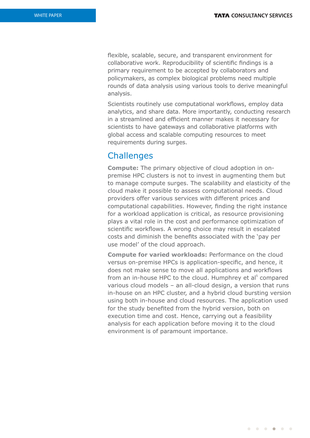flexible, scalable, secure, and transparent environment for collaborative work. Reproducibility of scientific findings is a primary requirement to be accepted by collaborators and policymakers, as complex biological problems need multiple rounds of data analysis using various tools to derive meaningful analysis.

Scientists routinely use computational workflows, employ data analytics, and share data. More importantly, conducting research in a streamlined and efficient manner makes it necessary for scientists to have gateways and collaborative platforms with global access and scalable computing resources to meet requirements during surges.

### **Challenges**

**Compute:** The primary objective of cloud adoption in onpremise HPC clusters is not to invest in augmenting them but to manage compute surges. The scalability and elasticity of the cloud make it possible to assess computational needs. Cloud providers offer various services with different prices and computational capabilities. However, finding the right instance for a workload application is critical, as resource provisioning plays a vital role in the cost and performance optimization of scientific workflows. A wrong choice may result in escalated costs and diminish the benefits associated with the 'pay per use model' of the cloud approach.

**Compute for varied workloads:** Performance on the cloud versus on-premise HPCs is application-specific, and hence, it does not make sense to move all applications and workflows from an in-house HPC to the cloud. Humphrey et al<sup>5</sup> compared various cloud models – an all-cloud design, a version that runs in-house on an HPC cluster, and a hybrid cloud bursting version using both in-house and cloud resources. The application used for the study benefited from the hybrid version, both on execution time and cost. Hence, carrying out a feasibility analysis for each application before moving it to the cloud environment is of paramount importance.

 $\begin{array}{ccccccccccccccccc} \bullet & \bullet & \bullet & \bullet & \bullet & \bullet & \bullet & \bullet & \bullet \end{array}$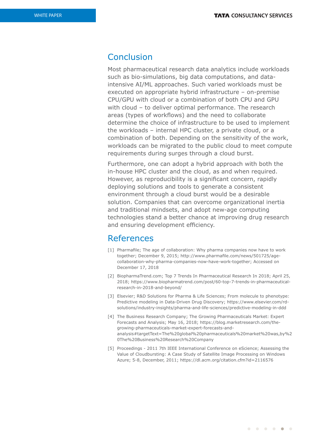### Conclusion

Most pharmaceutical research data analytics include workloads such as bio-simulations, big data computations, and dataintensive AI/ML approaches. Such varied workloads must be executed on appropriate hybrid infrastructure – on-premise CPU/GPU with cloud or a combination of both CPU and GPU with cloud – to deliver optimal performance. The research areas (types of workflows) and the need to collaborate determine the choice of infrastructure to be used to implement the workloads – internal HPC cluster, a private cloud, or a combination of both. Depending on the sensitivity of the work, workloads can be migrated to the public cloud to meet compute requirements during surges through a cloud burst.

Furthermore, one can adopt a hybrid approach with both the in-house HPC cluster and the cloud, as and when required. However, as reproducibility is a significant concern, rapidly deploying solutions and tools to generate a consistent environment through a cloud burst would be a desirable solution. Companies that can overcome organizational inertia and traditional mindsets, and adopt new-age computing technologies stand a better chance at improving drug research and ensuring development efficiency.

#### References

- [1] Pharmafile; The age of collaboration: Why pharma companies now have to work together; December 9, 2015; http://www.pharmafile.com/news/501725/agecollaboration-why-pharma-companies-now-have-work-together; Accessed on December 17, 2018
- [2] BiopharmaTrend.com; Top 7 Trends In Pharmaceutical Research In 2018; April 25, 2018; https://www.biopharmatrend.com/post/60-top-7-trends-in-pharmaceuticalresearch-in-2018-and-beyond/
- [3] Elsevier; R&D Solutions for Pharma & Life Sciences; From molecule to phenotype: Predictive modeling in Data-Driven Drug Discovery; https://www.elsevier.com/rdsolutions/industry-insights/pharma-and-life-sciences/predictive-modeling-in-ddd
- [4] The Business Research Company; The Growing Pharmaceuticals Market: Expert Forecasts and Analysis; May 16, 2018; https://blog.marketresearch.com/thegrowing-pharmaceuticals-market-expert-forecasts-andanalysis#targetText=The%20global%20pharmaceuticals%20market%20was,by%2 0The%20Business%20Research%20Company
- [5] Proceedings 2011 7th IEEE International Conference on eScience; Assessing the Value of Cloudbursting: A Case Study of Satellite Image Processing on Windows Azure; 5-8, December, 2011; https://dl.acm.org/citation.cfm?id=2116576